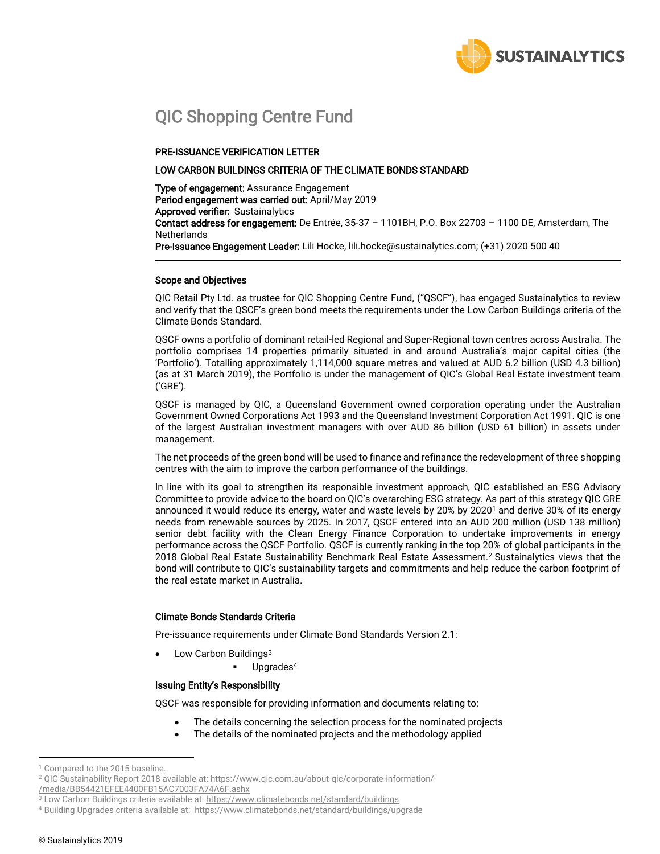

# QIC Shopping Centre Fund

## PRE-ISSUANCE VERIFICATION LETTER

## LOW CARBON BUILDINGS CRITERIA OF THE CLIMATE BONDS STANDARD

Type of engagement: Assurance Engagement Period engagement was carried out: April/May 2019 Approved verifier: Sustainalytics Contact address for engagement: De Entrée, 35-37 - 1101BH, P.O. Box 22703 - 1100 DE, Amsterdam, The **Netherlands** Pre-Issuance Engagement Leader: Lili Hocke[, lili.hocke@sustainalytics.com;](mailto:lili.hocke@sustainalytics.com) (+31) 2020 500 40

#### Scope and Objectives

QIC Retail Pty Ltd. as trustee for QIC Shopping Centre Fund, ("QSCF"), has engaged Sustainalytics to review and verify that the QSCF's green bond meets the requirements under the Low Carbon Buildings criteria of the Climate Bonds Standard.

QSCF owns a portfolio of dominant retail-led Regional and Super-Regional town centres across Australia. The portfolio comprises 14 properties primarily situated in and around Australia's major capital cities (the 'Portfolio'). Totalling approximately 1,114,000 square metres and valued at AUD 6.2 billion (USD 4.3 billion) (as at 31 March 2019), the Portfolio is under the management of QIC's Global Real Estate investment team ('GRE').

QSCF is managed by QIC, a Queensland Government owned corporation operating under the Australian Government Owned Corporations Act 1993 and the Queensland Investment Corporation Act 1991. QIC is one of the largest Australian investment managers with over AUD 86 billion (USD 61 billion) in assets under management.

The net proceeds of the green bond will be used to finance and refinance the redevelopment of three shopping centres with the aim to improve the carbon performance of the buildings.

In line with its goal to strengthen its responsible investment approach, QIC established an ESG Advisory Committee to provide advice to the board on QIC's overarching ESG strategy. As part of this strategy QIC GRE announced it would reduce its energy, water and waste levels by 20% by 2020<sup>1</sup> and derive 30% of its energy needs from renewable sources by 2025. In 2017, QSCF entered into an AUD 200 million (USD 138 million) senior debt facility with the Clean Energy Finance Corporation to undertake improvements in energy performance across the QSCF Portfolio. QSCF is currently ranking in the top 20% of global participants in the 2018 Global Real Estate Sustainability Benchmark Real Estate Assessment.<sup>2</sup> Sustainalytics views that the bond will contribute to QIC's sustainability targets and commitments and help reduce the carbon footprint of the real estate market in Australia.

## Climate Bonds Standards Criteria

Pre-issuance requirements under Climate Bond Standards Version 2.1:

- Low Carbon Buildings<sup>3</sup>
	- Upgrades<sup>4</sup>

## Issuing Entity's Responsibility

QSCF was responsible for providing information and documents relating to:

- The details concerning the selection process for the nominated projects
- The details of the nominated projects and the methodology applied

 $\overline{a}$ 

<sup>&</sup>lt;sup>1</sup> Compared to the 2015 baseline.

<sup>2</sup> QIC Sustainability Report 2018 available at[: https://www.qic.com.au/about-qic/corporate-information/-](https://www.qic.com.au/about-qic/corporate-information/-/media/BB54421EFEE4400FB15AC7003FA74A6F.ashx)

[<sup>/</sup>media/BB54421EFEE4400FB15AC7003FA74A6F.ashx](https://www.qic.com.au/about-qic/corporate-information/-/media/BB54421EFEE4400FB15AC7003FA74A6F.ashx)

<sup>3</sup> Low Carbon Buildings criteria available at[: https://www.climatebonds.net/standard/buildings](https://www.climatebonds.net/standard/buildings)

<sup>4</sup> Building Upgrades criteria available at:<https://www.climatebonds.net/standard/buildings/upgrade>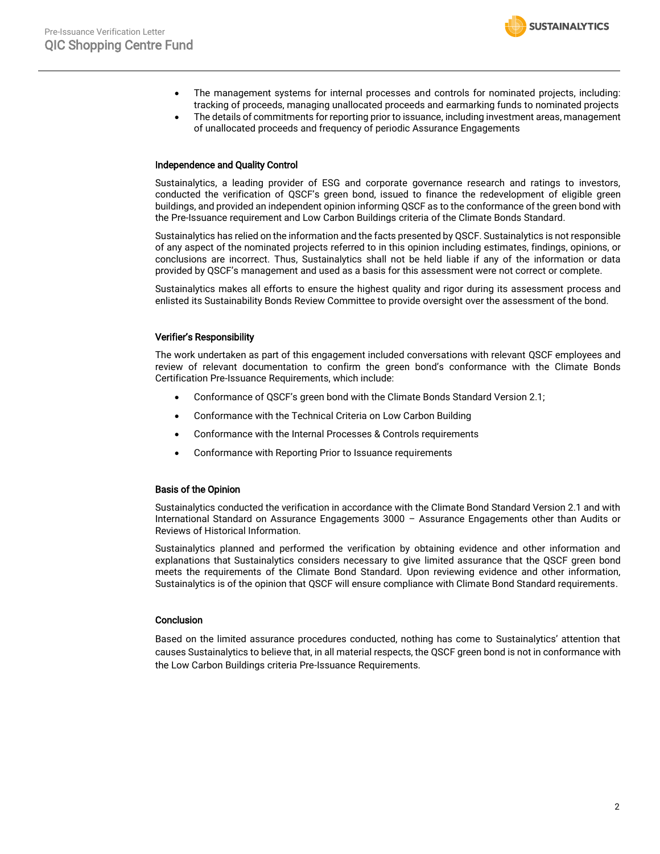- The management systems for internal processes and controls for nominated projects, including: tracking of proceeds, managing unallocated proceeds and earmarking funds to nominated projects
- The details of commitments for reporting prior to issuance, including investment areas, management of unallocated proceeds and frequency of periodic Assurance Engagements

#### Independence and Quality Control

Sustainalytics, a leading provider of ESG and corporate governance research and ratings to investors, conducted the verification of QSCF's green bond, issued to finance the redevelopment of eligible green buildings, and provided an independent opinion informing QSCF as to the conformance of the green bond with the Pre-Issuance requirement and Low Carbon Buildings criteria of the Climate Bonds Standard.

Sustainalytics has relied on the information and the facts presented by QSCF. Sustainalytics is not responsible of any aspect of the nominated projects referred to in this opinion including estimates, findings, opinions, or conclusions are incorrect. Thus, Sustainalytics shall not be held liable if any of the information or data provided by QSCF's management and used as a basis for this assessment were not correct or complete.

Sustainalytics makes all efforts to ensure the highest quality and rigor during its assessment process and enlisted its Sustainability Bonds Review Committee to provide oversight over the assessment of the bond.

## Verifier's Responsibility

The work undertaken as part of this engagement included conversations with relevant QSCF employees and review of relevant documentation to confirm the green bond's conformance with the Climate Bonds Certification Pre-Issuance Requirements, which include:

- Conformance of QSCF's green bond with the Climate Bonds Standard Version 2.1;
- Conformance with the Technical Criteria on Low Carbon Building
- Conformance with the Internal Processes & Controls requirements
- Conformance with Reporting Prior to Issuance requirements

#### Basis of the Opinion

Sustainalytics conducted the verification in accordance with the Climate Bond Standard Version 2.1 and with International Standard on Assurance Engagements 3000 – Assurance Engagements other than Audits or Reviews of Historical Information.

Sustainalytics planned and performed the verification by obtaining evidence and other information and explanations that Sustainalytics considers necessary to give limited assurance that the QSCF green bond meets the requirements of the Climate Bond Standard. Upon reviewing evidence and other information, Sustainalytics is of the opinion that QSCF will ensure compliance with Climate Bond Standard requirements.

## **Conclusion**

Based on the limited assurance procedures conducted, nothing has come to Sustainalytics' attention that causes Sustainalytics to believe that, in all material respects, the QSCF green bond is not in conformance with the Low Carbon Buildings criteria Pre-Issuance Requirements.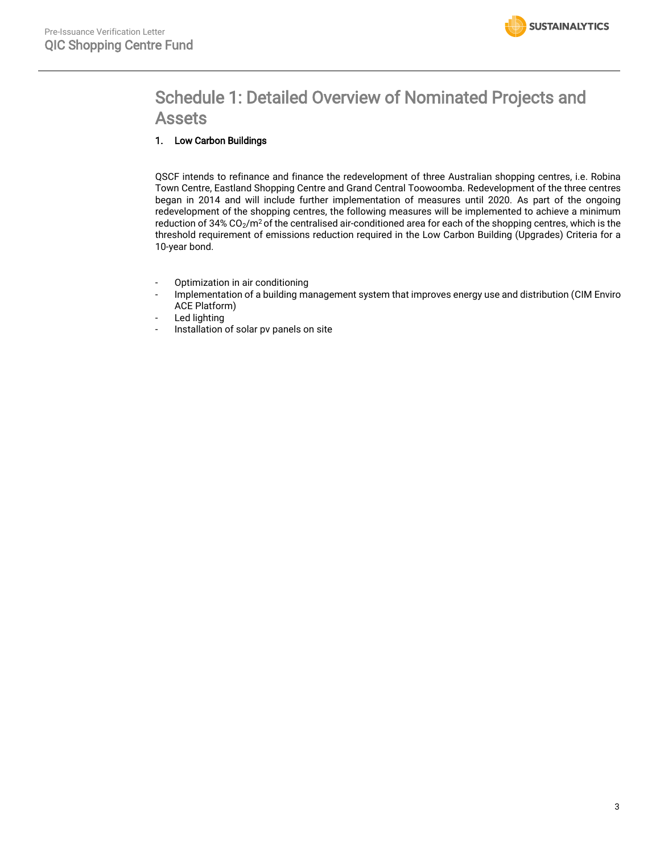

# Schedule 1: Detailed Overview of Nominated Projects and Assets

# 1. Low Carbon Buildings

QSCF intends to refinance and finance the redevelopment of three Australian shopping centres, i.e. Robina Town Centre, Eastland Shopping Centre and Grand Central Toowoomba. Redevelopment of the three centres began in 2014 and will include further implementation of measures until 2020. As part of the ongoing redevelopment of the shopping centres, the following measures will be implemented to achieve a minimum reduction of 34% CO<sub>2</sub>/m<sup>2</sup> of the centralised air-conditioned area for each of the shopping centres, which is the threshold requirement of emissions reduction required in the Low Carbon Building (Upgrades) Criteria for a 10-year bond.

- Optimization in air conditioning
- Implementation of a building management system that improves energy use and distribution (CIM Enviro ACE Platform)
- Led lighting
- Installation of solar pv panels on site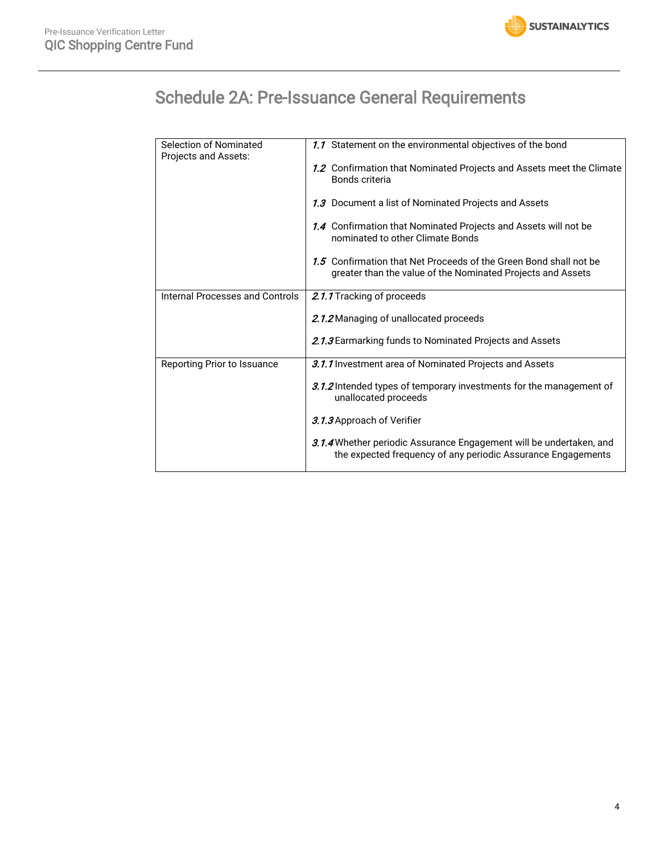

# Schedule 2A: Pre-Issuance General Requirements

|  | <b>Selection of Nominated</b><br>Projects and Assets: | 1.1 Statement on the environmental objectives of the bond                                                                           |
|--|-------------------------------------------------------|-------------------------------------------------------------------------------------------------------------------------------------|
|  |                                                       | 1.2 Confirmation that Nominated Projects and Assets meet the Climate<br>Bonds criteria                                              |
|  |                                                       | 1.3 Document a list of Nominated Projects and Assets                                                                                |
|  |                                                       | 1.4 Confirmation that Nominated Projects and Assets will not be<br>nominated to other Climate Bonds                                 |
|  |                                                       | 1.5 Confirmation that Net Proceeds of the Green Bond shall not be<br>greater than the value of the Nominated Projects and Assets    |
|  | Internal Processes and Controls                       | 2.1.1 Tracking of proceeds                                                                                                          |
|  |                                                       | 2.1.2 Managing of unallocated proceeds                                                                                              |
|  |                                                       | 2.1.3 Earmarking funds to Nominated Projects and Assets                                                                             |
|  | Reporting Prior to Issuance                           | 3.1.1 Investment area of Nominated Projects and Assets                                                                              |
|  |                                                       | 3.1.2 Intended types of temporary investments for the management of<br>unallocated proceeds                                         |
|  |                                                       | 3.1.3 Approach of Verifier                                                                                                          |
|  |                                                       | 3.1.4 Whether periodic Assurance Engagement will be undertaken, and<br>the expected frequency of any periodic Assurance Engagements |
|  |                                                       |                                                                                                                                     |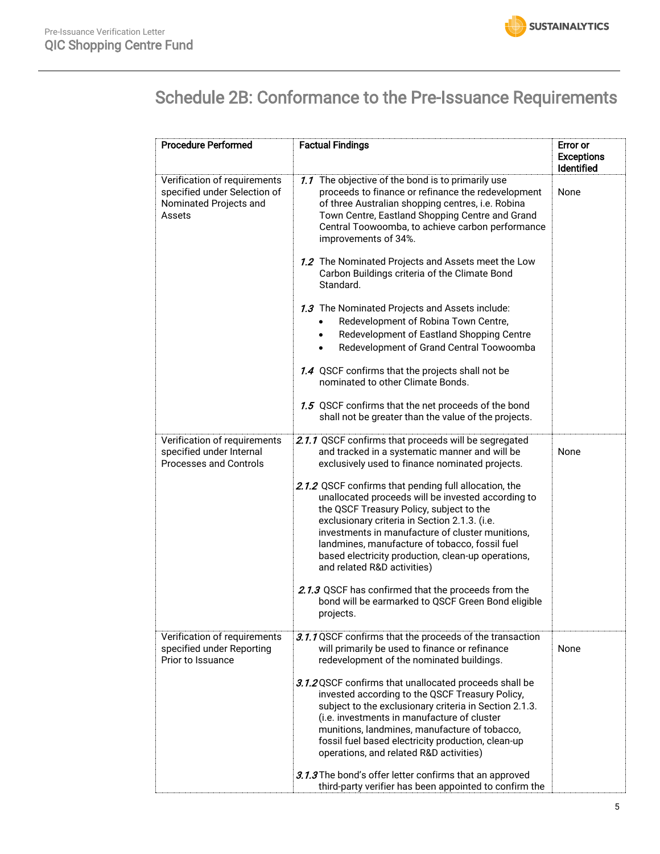

# Schedule 2B: Conformance to the Pre-Issuance Requirements

| <b>Procedure Performed</b>                                                                       | <b>Factual Findings</b>                                                                                                                                                                                                                                                                                                                                                                                                                                                                                                                                                                                                                                                                                                                                                                                    | Error or<br><b>Exceptions</b><br><b>Identified</b> |
|--------------------------------------------------------------------------------------------------|------------------------------------------------------------------------------------------------------------------------------------------------------------------------------------------------------------------------------------------------------------------------------------------------------------------------------------------------------------------------------------------------------------------------------------------------------------------------------------------------------------------------------------------------------------------------------------------------------------------------------------------------------------------------------------------------------------------------------------------------------------------------------------------------------------|----------------------------------------------------|
| Verification of requirements<br>specified under Selection of<br>Nominated Projects and<br>Assets | 1.1 The objective of the bond is to primarily use<br>proceeds to finance or refinance the redevelopment<br>of three Australian shopping centres, i.e. Robina<br>Town Centre, Eastland Shopping Centre and Grand<br>Central Toowoomba, to achieve carbon performance<br>improvements of 34%.<br>1.2 The Nominated Projects and Assets meet the Low<br>Carbon Buildings criteria of the Climate Bond<br>Standard.<br>1.3 The Nominated Projects and Assets include:<br>Redevelopment of Robina Town Centre,<br>Redevelopment of Eastland Shopping Centre<br>Redevelopment of Grand Central Toowoomba<br>1.4 QSCF confirms that the projects shall not be<br>nominated to other Climate Bonds.<br>1.5 QSCF confirms that the net proceeds of the bond<br>shall not be greater than the value of the projects. | None                                               |
| Verification of requirements<br>specified under Internal<br><b>Processes and Controls</b>        | 2.1.1 QSCF confirms that proceeds will be segregated<br>and tracked in a systematic manner and will be<br>exclusively used to finance nominated projects.<br>2.1.2 QSCF confirms that pending full allocation, the<br>unallocated proceeds will be invested according to<br>the QSCF Treasury Policy, subject to the<br>exclusionary criteria in Section 2.1.3. (i.e.<br>investments in manufacture of cluster munitions,<br>landmines, manufacture of tobacco, fossil fuel<br>based electricity production, clean-up operations,<br>and related R&D activities)<br>2.1.3 QSCF has confirmed that the proceeds from the<br>bond will be earmarked to QSCF Green Bond eligible<br>projects.                                                                                                                 | None                                               |
| Verification of requirements<br>specified under Reporting<br>Prior to Issuance                   | 3.1.1 QSCF confirms that the proceeds of the transaction<br>will primarily be used to finance or refinance<br>redevelopment of the nominated buildings.<br>3.1.2 QSCF confirms that unallocated proceeds shall be<br>invested according to the QSCF Treasury Policy,<br>subject to the exclusionary criteria in Section 2.1.3.<br>(i.e. investments in manufacture of cluster<br>munitions, landmines, manufacture of tobacco,<br>fossil fuel based electricity production, clean-up<br>operations, and related R&D activities)<br>3.1.3 The bond's offer letter confirms that an approved<br>third-party verifier has been appointed to confirm the                                                                                                                                                       | None                                               |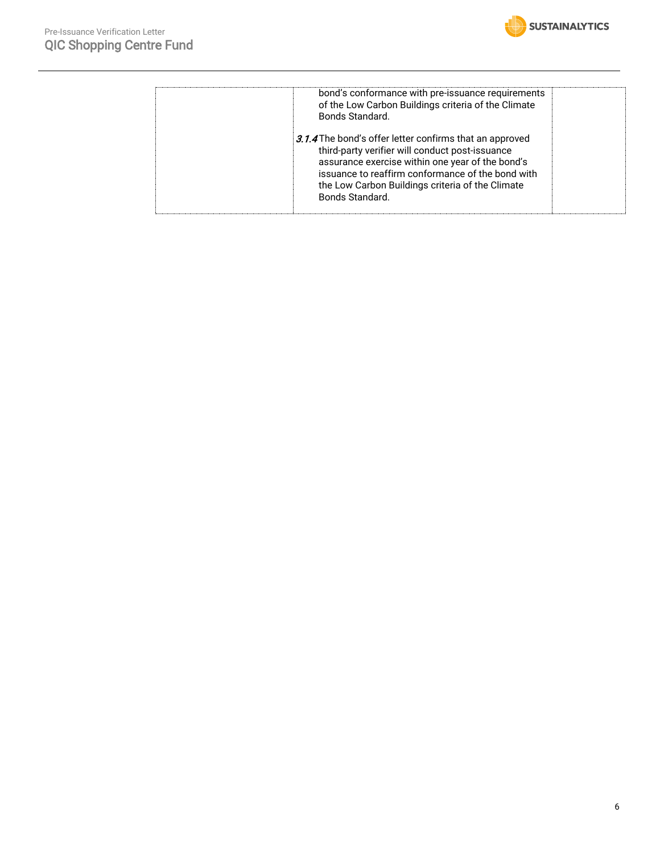

| bond's conformance with pre-issuance requirements<br>of the Low Carbon Buildings criteria of the Climate<br>Bonds Standard.                                                                                                                                                                |  |
|--------------------------------------------------------------------------------------------------------------------------------------------------------------------------------------------------------------------------------------------------------------------------------------------|--|
| 3.1.4 The bond's offer letter confirms that an approved<br>third-party verifier will conduct post-issuance<br>assurance exercise within one year of the bond's<br>issuance to reaffirm conformance of the bond with<br>the Low Carbon Buildings criteria of the Climate<br>Bonds Standard. |  |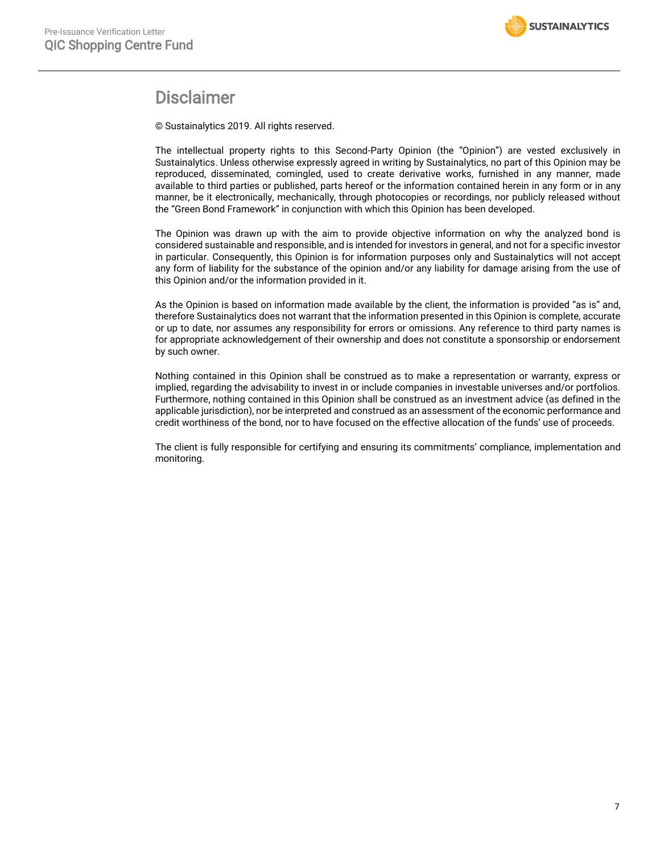

# **Disclaimer**

© Sustainalytics 2019. All rights reserved.

The intellectual property rights to this Second-Party Opinion (the "Opinion") are vested exclusively in Sustainalytics. Unless otherwise expressly agreed in writing by Sustainalytics, no part of this Opinion may be reproduced, disseminated, comingled, used to create derivative works, furnished in any manner, made available to third parties or published, parts hereof or the information contained herein in any form or in any manner, be it electronically, mechanically, through photocopies or recordings, nor publicly released without the "Green Bond Framework" in conjunction with which this Opinion has been developed.

The Opinion was drawn up with the aim to provide objective information on why the analyzed bond is considered sustainable and responsible, and is intended for investors in general, and not for a specific investor in particular. Consequently, this Opinion is for information purposes only and Sustainalytics will not accept any form of liability for the substance of the opinion and/or any liability for damage arising from the use of this Opinion and/or the information provided in it.

As the Opinion is based on information made available by the client, the information is provided "as is" and, therefore Sustainalytics does not warrant that the information presented in this Opinion is complete, accurate or up to date, nor assumes any responsibility for errors or omissions. Any reference to third party names is for appropriate acknowledgement of their ownership and does not constitute a sponsorship or endorsement by such owner.

Nothing contained in this Opinion shall be construed as to make a representation or warranty, express or implied, regarding the advisability to invest in or include companies in investable universes and/or portfolios. Furthermore, nothing contained in this Opinion shall be construed as an investment advice (as defined in the applicable jurisdiction), nor be interpreted and construed as an assessment of the economic performance and credit worthiness of the bond, nor to have focused on the effective allocation of the funds' use of proceeds.

The client is fully responsible for certifying and ensuring its commitments' compliance, implementation and monitoring.